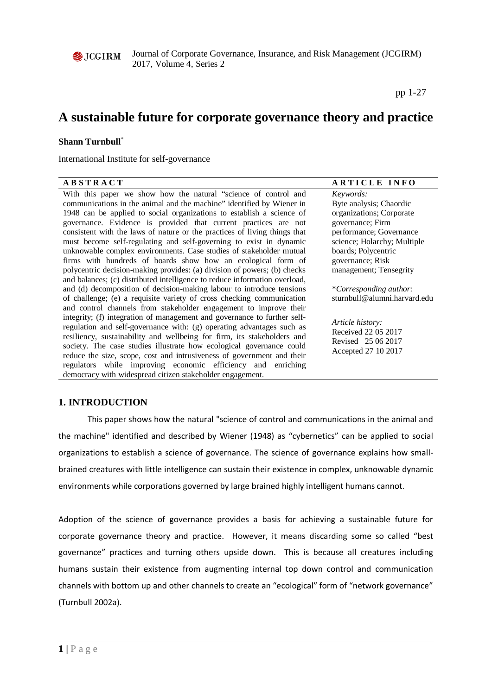

pp 1-27

# **A sustainable future for corporate governance theory and practice**

# **Shann Turnbull**\*

International Institute for self-governance

| <b>ABSTRACT</b>                                                                                                                                                                                                                                                                                                                                                                                                                                                                                                                                                                                                                                                                                                                                                                                                  | ARTICLE INFO                                                                                                                                                                                                        |
|------------------------------------------------------------------------------------------------------------------------------------------------------------------------------------------------------------------------------------------------------------------------------------------------------------------------------------------------------------------------------------------------------------------------------------------------------------------------------------------------------------------------------------------------------------------------------------------------------------------------------------------------------------------------------------------------------------------------------------------------------------------------------------------------------------------|---------------------------------------------------------------------------------------------------------------------------------------------------------------------------------------------------------------------|
| With this paper we show how the natural "science of control and<br>communications in the animal and the machine" identified by Wiener in<br>1948 can be applied to social organizations to establish a science of<br>governance. Evidence is provided that current practices are not<br>consistent with the laws of nature or the practices of living things that<br>must become self-regulating and self-governing to exist in dynamic<br>unknowable complex environments. Case studies of stakeholder mutual<br>firms with hundreds of boards show how an ecological form of<br>polycentric decision-making provides: (a) division of powers; (b) checks                                                                                                                                                       | Keywords:<br>Byte analysis; Chaordic<br>organizations; Corporate<br>governance; Firm<br>performance; Governance<br>science; Holarchy; Multiple<br>boards; Polycentric<br>governance; Risk<br>management; Tensegrity |
| and balances; (c) distributed intelligence to reduce information overload,<br>and (d) decomposition of decision-making labour to introduce tensions<br>of challenge; (e) a requisite variety of cross checking communication<br>and control channels from stakeholder engagement to improve their<br>integrity; (f) integration of management and governance to further self-<br>regulation and self-governance with: (g) operating advantages such as<br>resiliency, sustainability and wellbeing for firm, its stakeholders and<br>society. The case studies illustrate how ecological governance could<br>reduce the size, scope, cost and intrusiveness of government and their<br>regulators while improving economic efficiency and enriching<br>democracy with widespread citizen stakeholder engagement. | *Corresponding author:<br>sturnbull@alumni.harvard.edu<br>Article history:<br>Received 22 05 2017<br>Revised 25 06 2017<br>Accepted 27 10 2017                                                                      |

# **1. INTRODUCTION**

This paper shows how the natural "science of control and communications in the animal and the machine" identified and described by Wiener (1948) as "cybernetics" can be applied to social organizations to establish a science of governance. The science of governance explains how smallbrained creatures with little intelligence can sustain their existence in complex, unknowable dynamic environments while corporations governed by large brained highly intelligent humans cannot.

Adoption of the science of governance provides a basis for achieving a sustainable future for corporate governance theory and practice. However, it means discarding some so called "best governance" practices and turning others upside down. This is because all creatures including humans sustain their existence from augmenting internal top down control and communication channels with bottom up and other channels to create an "ecological" form of "network governance" (Turnbull 2002a).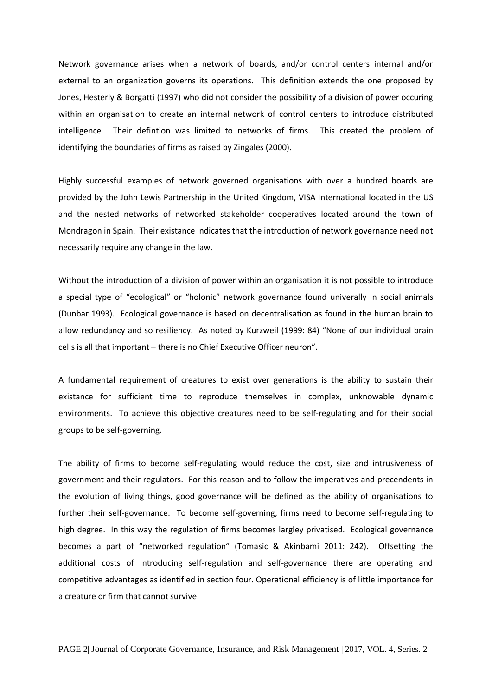Network governance arises when a network of boards, and/or control centers internal and/or external to an organization governs its operations. This definition extends the one proposed by Jones, Hesterly & Borgatti (1997) who did not consider the possibility of a division of power occuring within an organisation to create an internal network of control centers to introduce distributed intelligence. Their defintion was limited to networks of firms. This created the problem of identifying the boundaries of firms as raised by Zingales (2000).

Highly successful examples of network governed organisations with over a hundred boards are provided by the John Lewis Partnership in the United Kingdom, VISA International located in the US and the nested networks of networked stakeholder cooperatives located around the town of Mondragon in Spain. Their existance indicates that the introduction of network governance need not necessarily require any change in the law.

Without the introduction of a division of power within an organisation it is not possible to introduce a special type of "ecological" or "holonic" network governance found univerally in social animals (Dunbar 1993). Ecological governance is based on decentralisation as found in the human brain to allow redundancy and so resiliency. As noted by Kurzweil (1999: 84) "None of our individual brain cells is all that important – there is no Chief Executive Officer neuron".

A fundamental requirement of creatures to exist over generations is the ability to sustain their existance for sufficient time to reproduce themselves in complex, unknowable dynamic environments. To achieve this objective creatures need to be self-regulating and for their social groups to be self-governing.

The ability of firms to become self-regulating would reduce the cost, size and intrusiveness of government and their regulators. For this reason and to follow the imperatives and precendents in the evolution of living things, good governance will be defined as the ability of organisations to further their self-governance. To become self-governing, firms need to become self-regulating to high degree. In this way the regulation of firms becomes largley privatised. Ecological governance becomes a part of "networked regulation" (Tomasic & Akinbami 2011: 242). Offsetting the additional costs of introducing self-regulation and self-governance there are operating and competitive advantages as identified in section four. Operational efficiency is of little importance for a creature or firm that cannot survive.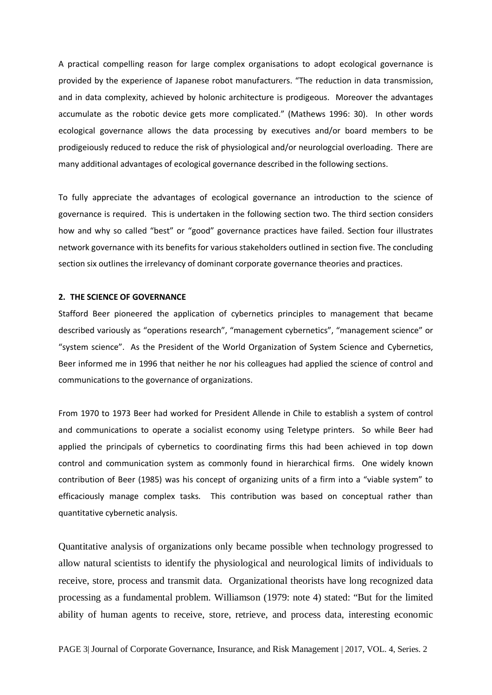A practical compelling reason for large complex organisations to adopt ecological governance is provided by the experience of Japanese robot manufacturers. "The reduction in data transmission, and in data complexity, achieved by holonic architecture is prodigeous. Moreover the advantages accumulate as the robotic device gets more complicated." (Mathews 1996: 30). In other words ecological governance allows the data processing by executives and/or board members to be prodigeiously reduced to reduce the risk of physiological and/or neurologcial overloading. There are many additional advantages of ecological governance described in the following sections.

To fully appreciate the advantages of ecological governance an introduction to the science of governance is required. This is undertaken in the following section two. The third section considers how and why so called "best" or "good" governance practices have failed. Section four illustrates network governance with its benefits for various stakeholders outlined in section five. The concluding section six outlines the irrelevancy of dominant corporate governance theories and practices.

### **2. THE SCIENCE OF GOVERNANCE**

Stafford Beer pioneered the application of cybernetics principles to management that became described variously as "operations research", "management cybernetics", "management science" or "system science". As the President of the World Organization of System Science and Cybernetics, Beer informed me in 1996 that neither he nor his colleagues had applied the science of control and communications to the governance of organizations.

From 1970 to 1973 Beer had worked for President Allende in Chile to establish a system of control and communications to operate a socialist economy using Teletype printers. So while Beer had applied the principals of cybernetics to coordinating firms this had been achieved in top down control and communication system as commonly found in hierarchical firms. One widely known contribution of Beer (1985) was his concept of organizing units of a firm into a "viable system" to efficaciously manage complex tasks. This contribution was based on conceptual rather than quantitative cybernetic analysis.

Quantitative analysis of organizations only became possible when technology progressed to allow natural scientists to identify the physiological and neurological limits of individuals to receive, store, process and transmit data. Organizational theorists have long recognized data processing as a fundamental problem. Williamson (1979: note 4) stated: "But for the limited ability of human agents to receive, store, retrieve, and process data, interesting economic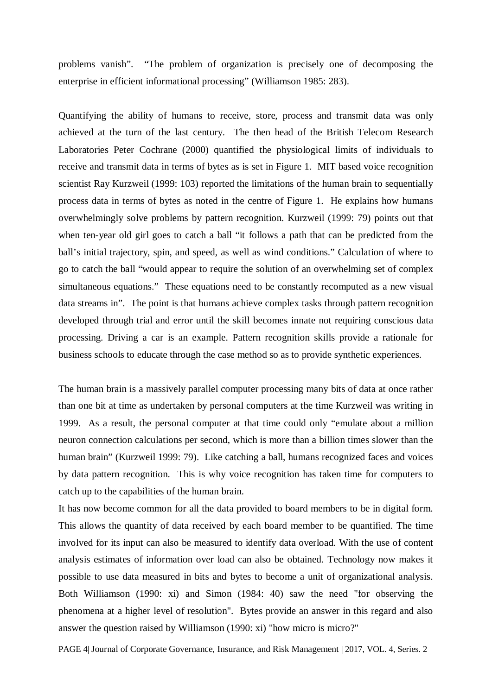problems vanish". "The problem of organization is precisely one of decomposing the enterprise in efficient informational processing" (Williamson 1985: 283).

Quantifying the ability of humans to receive, store, process and transmit data was only achieved at the turn of the last century. The then head of the British Telecom Research Laboratories Peter Cochrane (2000) quantified the physiological limits of individuals to receive and transmit data in terms of bytes as is set in Figure 1. MIT based voice recognition scientist Ray Kurzweil (1999: 103) reported the limitations of the human brain to sequentially process data in terms of bytes as noted in the centre of Figure 1. He explains how humans overwhelmingly solve problems by pattern recognition. Kurzweil (1999: 79) points out that when ten-year old girl goes to catch a ball "it follows a path that can be predicted from the ball's initial trajectory, spin, and speed, as well as wind conditions." Calculation of where to go to catch the ball "would appear to require the solution of an overwhelming set of complex simultaneous equations." These equations need to be constantly recomputed as a new visual data streams in". The point is that humans achieve complex tasks through pattern recognition developed through trial and error until the skill becomes innate not requiring conscious data processing. Driving a car is an example. Pattern recognition skills provide a rationale for business schools to educate through the case method so as to provide synthetic experiences.

The human brain is a massively parallel computer processing many bits of data at once rather than one bit at time as undertaken by personal computers at the time Kurzweil was writing in 1999. As a result, the personal computer at that time could only "emulate about a million neuron connection calculations per second, which is more than a billion times slower than the human brain" (Kurzweil 1999: 79). Like catching a ball, humans recognized faces and voices by data pattern recognition. This is why voice recognition has taken time for computers to catch up to the capabilities of the human brain.

It has now become common for all the data provided to board members to be in digital form. This allows the quantity of data received by each board member to be quantified. The time involved for its input can also be measured to identify data overload. With the use of content analysis estimates of information over load can also be obtained. Technology now makes it possible to use data measured in bits and bytes to become a unit of organizational analysis. Both Williamson (1990: xi) and Simon (1984: 40) saw the need "for observing the phenomena at a higher level of resolution". Bytes provide an answer in this regard and also answer the question raised by Williamson (1990: xi) "how micro is micro?"

PAGE 4| Journal of Corporate Governance, Insurance, and Risk Management | 2017, VOL. 4, Series. 2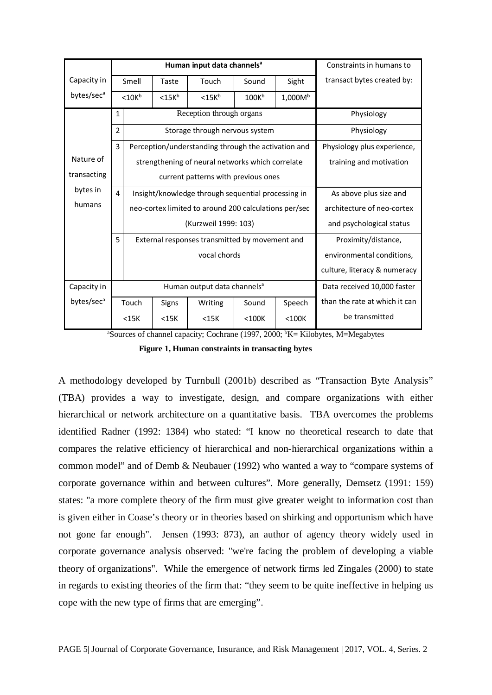|                        | Human input data channels <sup>a</sup> |                                                                                         |              |              |                                                     | Constraints in humans to    |                               |
|------------------------|----------------------------------------|-----------------------------------------------------------------------------------------|--------------|--------------|-----------------------------------------------------|-----------------------------|-------------------------------|
| Capacity in            | Smell                                  |                                                                                         | Taste        | Touch        | Sound                                               | Sight                       | transact bytes created by:    |
| bytes/sec <sup>a</sup> |                                        | $<$ 10 $K^b$                                                                            | $<$ 15 $K^b$ | $<$ 15 $K^b$ | 100K <sup>b</sup>                                   | 1,000M <sup>b</sup>         |                               |
|                        | 1                                      | Reception through organs                                                                |              |              |                                                     |                             | Physiology                    |
|                        | $\overline{2}$                         | Storage through nervous system                                                          |              |              |                                                     |                             | Physiology                    |
|                        | 3                                      |                                                                                         |              |              | Perception/understanding through the activation and |                             | Physiology plus experience,   |
| Nature of              |                                        | strengthening of neural networks which correlate<br>current patterns with previous ones |              |              |                                                     |                             | training and motivation       |
| transacting            |                                        |                                                                                         |              |              |                                                     |                             |                               |
| bytes in               | 4                                      | Insight/knowledge through sequential processing in                                      |              |              |                                                     |                             | As above plus size and        |
| humans                 |                                        | neo-cortex limited to around 200 calculations per/sec                                   |              |              |                                                     |                             | architecture of neo-cortex    |
|                        |                                        | (Kurzweil 1999: 103)                                                                    |              |              |                                                     |                             | and psychological status      |
|                        | 5                                      | External responses transmitted by movement and                                          |              |              |                                                     |                             | Proximity/distance,           |
|                        |                                        | vocal chords                                                                            |              |              |                                                     | environmental conditions,   |                               |
|                        |                                        |                                                                                         |              |              | culture, literacy & numeracy                        |                             |                               |
| Capacity in            |                                        | Human output data channels <sup>a</sup>                                                 |              |              |                                                     | Data received 10,000 faster |                               |
| bytes/sec <sup>a</sup> |                                        | Touch                                                                                   | Signs        | Writing      | Sound                                               | Speech                      | than the rate at which it can |
|                        | $<$ 15 $K$                             |                                                                                         | $<$ 15 $K$   | $<$ 15 $K$   | $<$ 100 $K$                                         | $<$ 100 $K$                 | be transmitted                |

<sup>a</sup>Sources of channel capacity; Cochrane (1997, 2000; <sup>b</sup>K= Kilobytes, M=Megabytes

A methodology developed by Turnbull (2001b) described as "Transaction Byte Analysis" (TBA) provides a way to investigate, design, and compare organizations with either hierarchical or network architecture on a quantitative basis. TBA overcomes the problems identified Radner (1992: 1384) who stated: "I know no theoretical research to date that compares the relative efficiency of hierarchical and non-hierarchical organizations within a common model" and of Demb & Neubauer (1992) who wanted a way to "compare systems of corporate governance within and between cultures". More generally, Demsetz (1991: 159) states: "a more complete theory of the firm must give greater weight to information cost than is given either in Coase's theory or in theories based on shirking and opportunism which have not gone far enough". Jensen (1993: 873), an author of agency theory widely used in corporate governance analysis observed: "we're facing the problem of developing a viable theory of organizations". While the emergence of network firms led Zingales (2000) to state in regards to existing theories of the firm that: "they seem to be quite ineffective in helping us cope with the new type of firms that are emerging".

**Figure 1, Human constraints in transacting bytes**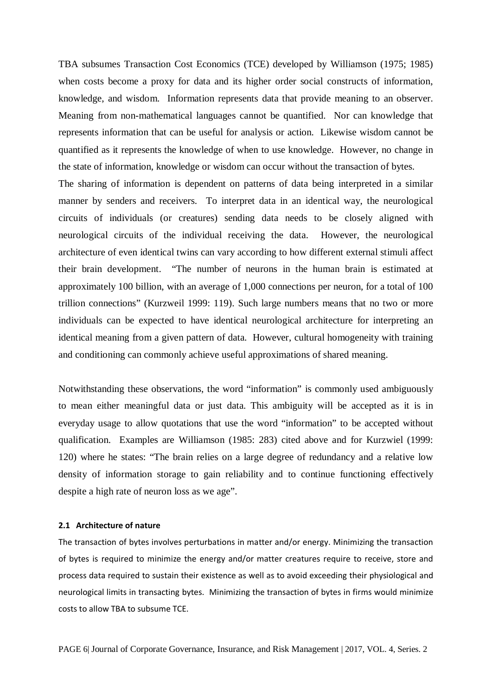TBA subsumes Transaction Cost Economics (TCE) developed by Williamson (1975; 1985) when costs become a proxy for data and its higher order social constructs of information, knowledge, and wisdom. Information represents data that provide meaning to an observer. Meaning from non-mathematical languages cannot be quantified. Nor can knowledge that represents information that can be useful for analysis or action. Likewise wisdom cannot be quantified as it represents the knowledge of when to use knowledge. However, no change in the state of information, knowledge or wisdom can occur without the transaction of bytes.

The sharing of information is dependent on patterns of data being interpreted in a similar manner by senders and receivers. To interpret data in an identical way, the neurological circuits of individuals (or creatures) sending data needs to be closely aligned with neurological circuits of the individual receiving the data. However, the neurological architecture of even identical twins can vary according to how different external stimuli affect their brain development. "The number of neurons in the human brain is estimated at approximately 100 billion, with an average of 1,000 connections per neuron, for a total of 100 trillion connections" (Kurzweil 1999: 119). Such large numbers means that no two or more individuals can be expected to have identical neurological architecture for interpreting an identical meaning from a given pattern of data. However, cultural homogeneity with training and conditioning can commonly achieve useful approximations of shared meaning.

Notwithstanding these observations, the word "information" is commonly used ambiguously to mean either meaningful data or just data. This ambiguity will be accepted as it is in everyday usage to allow quotations that use the word "information" to be accepted without qualification. Examples are Williamson (1985: 283) cited above and for Kurzwiel (1999: 120) where he states: "The brain relies on a large degree of redundancy and a relative low density of information storage to gain reliability and to continue functioning effectively despite a high rate of neuron loss as we age".

### **2.1 Architecture of nature**

The transaction of bytes involves perturbations in matter and/or energy. Minimizing the transaction of bytes is required to minimize the energy and/or matter creatures require to receive, store and process data required to sustain their existence as well as to avoid exceeding their physiological and neurological limits in transacting bytes. Minimizing the transaction of bytes in firms would minimize costs to allow TBA to subsume TCE.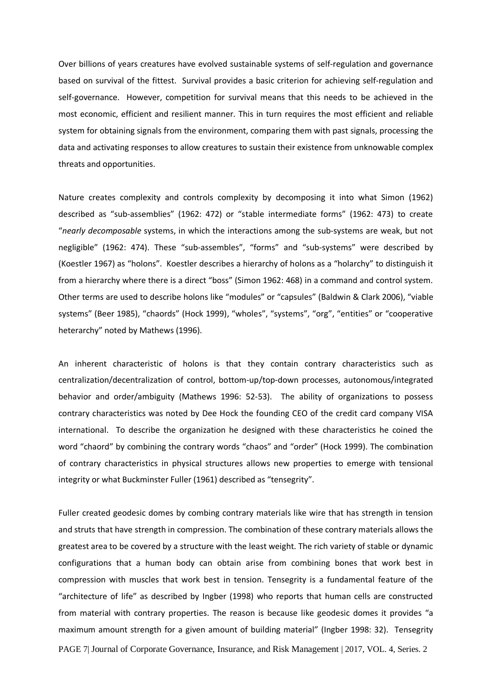Over billions of years creatures have evolved sustainable systems of self-regulation and governance based on survival of the fittest. Survival provides a basic criterion for achieving self-regulation and self-governance. However, competition for survival means that this needs to be achieved in the most economic, efficient and resilient manner. This in turn requires the most efficient and reliable system for obtaining signals from the environment, comparing them with past signals, processing the data and activating responses to allow creatures to sustain their existence from unknowable complex threats and opportunities.

Nature creates complexity and controls complexity by decomposing it into what Simon (1962) described as "sub-assemblies" (1962: 472) or "stable intermediate forms" (1962: 473) to create "*nearly decomposable* systems, in which the interactions among the sub-systems are weak, but not negligible" (1962: 474). These "sub-assembles", "forms" and "sub-systems" were described by (Koestler 1967) as "holons". Koestler describes a hierarchy of holons as a "holarchy" to distinguish it from a hierarchy where there is a direct "boss" (Simon 1962: 468) in a command and control system. Other terms are used to describe holons like "modules" or "capsules" (Baldwin & Clark 2006), "viable systems" (Beer 1985), "chaords" (Hock 1999), "wholes", "systems", "org", "entities" or "cooperative heterarchy" noted by Mathews (1996).

An inherent characteristic of holons is that they contain contrary characteristics such as centralization/decentralization of control, bottom-up/top-down processes, autonomous/integrated behavior and order/ambiguity (Mathews 1996: 52-53). The ability of organizations to possess contrary characteristics was noted by Dee Hock the founding CEO of the credit card company VISA international. To describe the organization he designed with these characteristics he coined the word "chaord" by combining the contrary words "chaos" and "order" (Hock 1999). The combination of contrary characteristics in physical structures allows new properties to emerge with tensional integrity or what Buckminster Fuller (1961) described as "tensegrity".

PAGE 7| Journal of Corporate Governance, Insurance, and Risk Management | 2017, VOL. 4, Series. 2 Fuller created geodesic domes by combing contrary materials like wire that has strength in tension and struts that have strength in compression. The combination of these contrary materials allows the greatest area to be covered by a structure with the least weight. The rich variety of stable or dynamic configurations that a human body can obtain arise from combining bones that work best in compression with muscles that work best in tension. Tensegrity is a fundamental feature of the "architecture of life" as described by Ingber (1998) who reports that human cells are constructed from material with contrary properties. The reason is because like geodesic domes it provides "a maximum amount strength for a given amount of building material" (Ingber 1998: 32). Tensegrity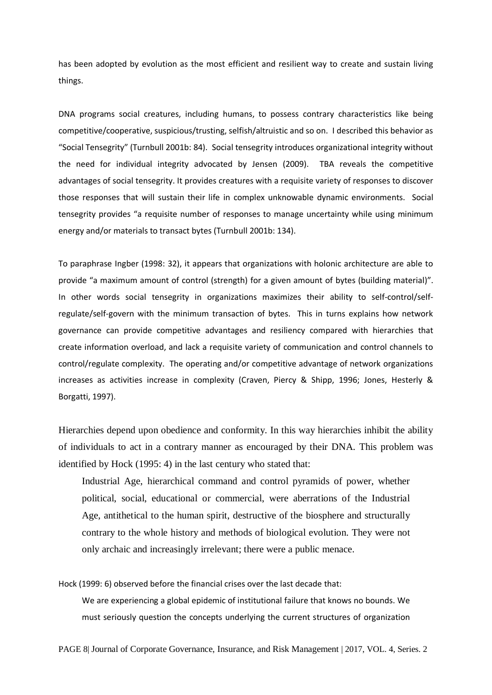has been adopted by evolution as the most efficient and resilient way to create and sustain living things.

DNA programs social creatures, including humans, to possess contrary characteristics like being competitive/cooperative, suspicious/trusting, selfish/altruistic and so on. I described this behavior as "Social Tensegrity" (Turnbull 2001b: 84). Social tensegrity introduces organizational integrity without the need for individual integrity advocated by Jensen (2009). TBA reveals the competitive advantages of social tensegrity. It provides creatures with a requisite variety of responses to discover those responses that will sustain their life in complex unknowable dynamic environments. Social tensegrity provides "a requisite number of responses to manage uncertainty while using minimum energy and/or materials to transact bytes (Turnbull 2001b: 134).

To paraphrase Ingber (1998: 32), it appears that organizations with holonic architecture are able to provide "a maximum amount of control (strength) for a given amount of bytes (building material)". In other words social tensegrity in organizations maximizes their ability to self-control/selfregulate/self-govern with the minimum transaction of bytes. This in turns explains how network governance can provide competitive advantages and resiliency compared with hierarchies that create information overload, and lack a requisite variety of communication and control channels to control/regulate complexity. The operating and/or competitive advantage of network organizations increases as activities increase in complexity (Craven, Piercy & Shipp, 1996; Jones, Hesterly & Borgatti, 1997).

Hierarchies depend upon obedience and conformity. In this way hierarchies inhibit the ability of individuals to act in a contrary manner as encouraged by their DNA. This problem was identified by Hock (1995: 4) in the last century who stated that:

Industrial Age, hierarchical command and control pyramids of power, whether political, social, educational or commercial, were aberrations of the Industrial Age, antithetical to the human spirit, destructive of the biosphere and structurally contrary to the whole history and methods of biological evolution. They were not only archaic and increasingly irrelevant; there were a public menace.

Hock (1999: 6) observed before the financial crises over the last decade that: We are experiencing a global epidemic of institutional failure that knows no bounds. We must seriously question the concepts underlying the current structures of organization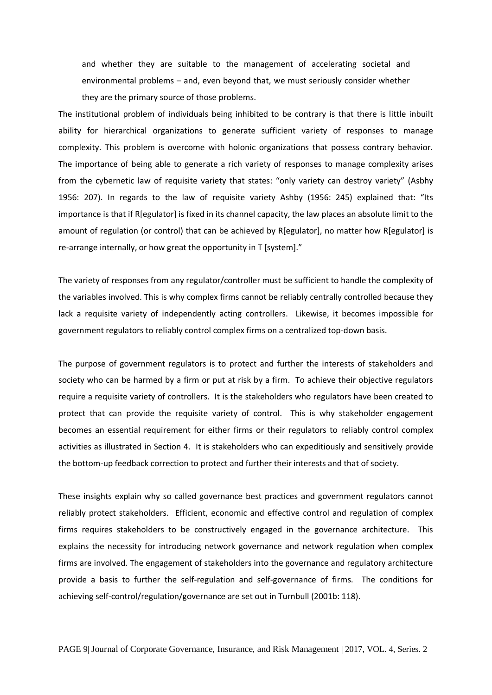and whether they are suitable to the management of accelerating societal and environmental problems – and, even beyond that, we must seriously consider whether they are the primary source of those problems.

The institutional problem of individuals being inhibited to be contrary is that there is little inbuilt ability for hierarchical organizations to generate sufficient variety of responses to manage complexity. This problem is overcome with holonic organizations that possess contrary behavior. The importance of being able to generate a rich variety of responses to manage complexity arises from the cybernetic law of requisite variety that states: "only variety can destroy variety" (Asbhy 1956: 207). In regards to the law of requisite variety Ashby (1956: 245) explained that: "Its importance is that if R[egulator] is fixed in its channel capacity, the law places an absolute limit to the amount of regulation (or control) that can be achieved by R[egulator], no matter how R[egulator] is re-arrange internally, or how great the opportunity in T [system]."

The variety of responses from any regulator/controller must be sufficient to handle the complexity of the variables involved. This is why complex firms cannot be reliably centrally controlled because they lack a requisite variety of independently acting controllers. Likewise, it becomes impossible for government regulators to reliably control complex firms on a centralized top-down basis.

The purpose of government regulators is to protect and further the interests of stakeholders and society who can be harmed by a firm or put at risk by a firm. To achieve their objective regulators require a requisite variety of controllers. It is the stakeholders who regulators have been created to protect that can provide the requisite variety of control. This is why stakeholder engagement becomes an essential requirement for either firms or their regulators to reliably control complex activities as illustrated in Section 4. It is stakeholders who can expeditiously and sensitively provide the bottom-up feedback correction to protect and further their interests and that of society.

These insights explain why so called governance best practices and government regulators cannot reliably protect stakeholders. Efficient, economic and effective control and regulation of complex firms requires stakeholders to be constructively engaged in the governance architecture. This explains the necessity for introducing network governance and network regulation when complex firms are involved. The engagement of stakeholders into the governance and regulatory architecture provide a basis to further the self-regulation and self-governance of firms. The conditions for achieving self-control/regulation/governance are set out in Turnbull (2001b: 118).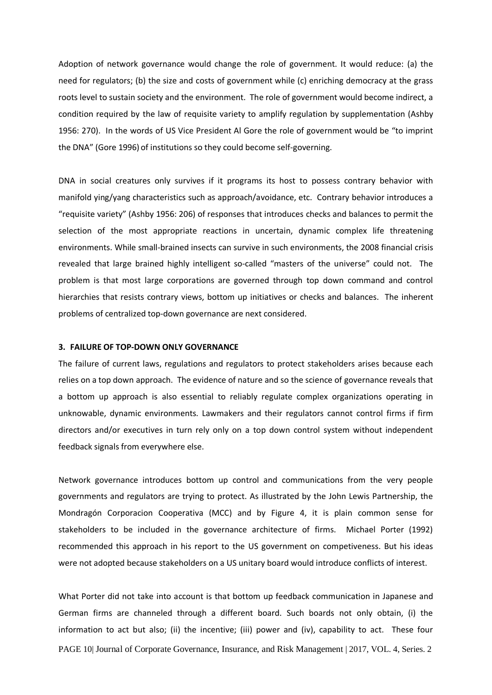Adoption of network governance would change the role of government. It would reduce: (a) the need for regulators; (b) the size and costs of government while (c) enriching democracy at the grass roots level to sustain society and the environment. The role of government would become indirect, a condition required by the law of requisite variety to amplify regulation by supplementation (Ashby 1956: 270). In the words of US Vice President Al Gore the role of government would be "to imprint the DNA" (Gore 1996) of institutions so they could become self-governing.

DNA in social creatures only survives if it programs its host to possess contrary behavior with manifold ying/yang characteristics such as approach/avoidance, etc. Contrary behavior introduces a "requisite variety" (Ashby 1956: 206) of responses that introduces checks and balances to permit the selection of the most appropriate reactions in uncertain, dynamic complex life threatening environments. While small-brained insects can survive in such environments, the 2008 financial crisis revealed that large brained highly intelligent so-called "masters of the universe" could not. The problem is that most large corporations are governed through top down command and control hierarchies that resists contrary views, bottom up initiatives or checks and balances. The inherent problems of centralized top-down governance are next considered.

### **3. FAILURE OF TOP-DOWN ONLY GOVERNANCE**

The failure of current laws, regulations and regulators to protect stakeholders arises because each relies on a top down approach. The evidence of nature and so the science of governance reveals that a bottom up approach is also essential to reliably regulate complex organizations operating in unknowable, dynamic environments. Lawmakers and their regulators cannot control firms if firm directors and/or executives in turn rely only on a top down control system without independent feedback signals from everywhere else.

Network governance introduces bottom up control and communications from the very people governments and regulators are trying to protect. As illustrated by the John Lewis Partnership, the Mondragón Corporacion Cooperativa (MCC) and by Figure 4, it is plain common sense for stakeholders to be included in the governance architecture of firms. Michael Porter (1992) recommended this approach in his report to the US government on competiveness. But his ideas were not adopted because stakeholders on a US unitary board would introduce conflicts of interest.

PAGE 10| Journal of Corporate Governance, Insurance, and Risk Management | 2017, VOL. 4, Series. 2 What Porter did not take into account is that bottom up feedback communication in Japanese and German firms are channeled through a different board. Such boards not only obtain, (i) the information to act but also; (ii) the incentive; (iii) power and (iv), capability to act. These four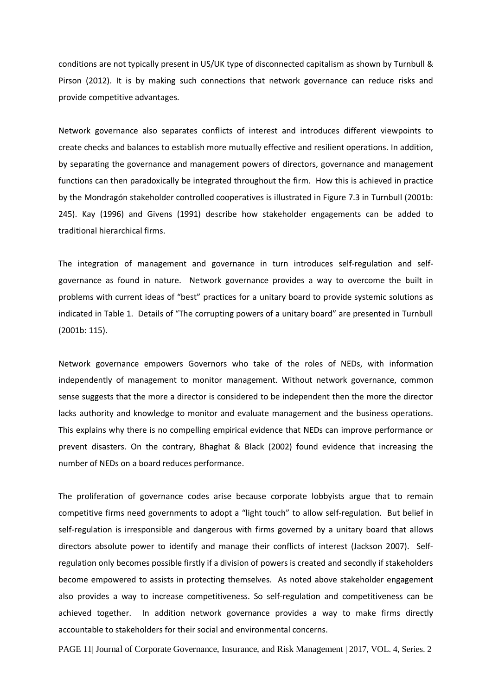conditions are not typically present in US/UK type of disconnected capitalism as shown by Turnbull & Pirson (2012). It is by making such connections that network governance can reduce risks and provide competitive advantages.

Network governance also separates conflicts of interest and introduces different viewpoints to create checks and balances to establish more mutually effective and resilient operations. In addition, by separating the governance and management powers of directors, governance and management functions can then paradoxically be integrated throughout the firm. How this is achieved in practice by the Mondragón stakeholder controlled cooperatives is illustrated in Figure 7.3 in Turnbull (2001b: 245). Kay (1996) and Givens (1991) describe how stakeholder engagements can be added to traditional hierarchical firms.

The integration of management and governance in turn introduces self-regulation and selfgovernance as found in nature. Network governance provides a way to overcome the built in problems with current ideas of "best" practices for a unitary board to provide systemic solutions as indicated in Table 1. Details of "The corrupting powers of a unitary board" are presented in Turnbull (2001b: 115).

Network governance empowers Governors who take of the roles of NEDs, with information independently of management to monitor management. Without network governance, common sense suggests that the more a director is considered to be independent then the more the director lacks authority and knowledge to monitor and evaluate management and the business operations. This explains why there is no compelling empirical evidence that NEDs can improve performance or prevent disasters. On the contrary, Bhaghat & Black (2002) found evidence that increasing the number of NEDs on a board reduces performance.

The proliferation of governance codes arise because corporate lobbyists argue that to remain competitive firms need governments to adopt a "light touch" to allow self-regulation. But belief in self-regulation is irresponsible and dangerous with firms governed by a unitary board that allows directors absolute power to identify and manage their conflicts of interest (Jackson 2007). Selfregulation only becomes possible firstly if a division of powers is created and secondly if stakeholders become empowered to assists in protecting themselves. As noted above stakeholder engagement also provides a way to increase competitiveness. So self-regulation and competitiveness can be achieved together. In addition network governance provides a way to make firms directly accountable to stakeholders for their social and environmental concerns.

PAGE 11| Journal of Corporate Governance, Insurance, and Risk Management | 2017, VOL. 4, Series. 2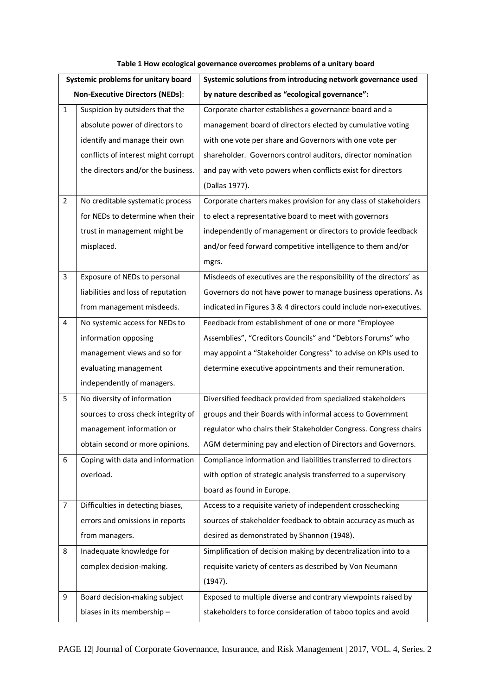|                | Systemic problems for unitary board    | Systemic solutions from introducing network governance used        |
|----------------|----------------------------------------|--------------------------------------------------------------------|
|                | <b>Non-Executive Directors (NEDs):</b> | by nature described as "ecological governance":                    |
| $\mathbf{1}$   | Suspicion by outsiders that the        | Corporate charter establishes a governance board and a             |
|                | absolute power of directors to         | management board of directors elected by cumulative voting         |
|                | identify and manage their own          | with one vote per share and Governors with one vote per            |
|                | conflicts of interest might corrupt    | shareholder. Governors control auditors, director nomination       |
|                | the directors and/or the business.     | and pay with veto powers when conflicts exist for directors        |
|                |                                        | (Dallas 1977).                                                     |
| $\overline{2}$ | No creditable systematic process       | Corporate charters makes provision for any class of stakeholders   |
|                | for NEDs to determine when their       | to elect a representative board to meet with governors             |
|                | trust in management might be           | independently of management or directors to provide feedback       |
|                | misplaced.                             | and/or feed forward competitive intelligence to them and/or        |
|                |                                        | mgrs.                                                              |
| 3              | Exposure of NEDs to personal           | Misdeeds of executives are the responsibility of the directors' as |
|                | liabilities and loss of reputation     | Governors do not have power to manage business operations. As      |
|                | from management misdeeds.              | indicated in Figures 3 & 4 directors could include non-executives. |
| 4              | No systemic access for NEDs to         | Feedback from establishment of one or more "Employee               |
|                | information opposing                   | Assemblies", "Creditors Councils" and "Debtors Forums" who         |
|                | management views and so for            | may appoint a "Stakeholder Congress" to advise on KPIs used to     |
|                | evaluating management                  | determine executive appointments and their remuneration.           |
|                | independently of managers.             |                                                                    |
| 5              | No diversity of information            | Diversified feedback provided from specialized stakeholders        |
|                | sources to cross check integrity of    | groups and their Boards with informal access to Government         |
|                | management information or              | regulator who chairs their Stakeholder Congress. Congress chairs   |
|                | obtain second or more opinions.        | AGM determining pay and election of Directors and Governors.       |
| 6              | Coping with data and information       | Compliance information and liabilities transferred to directors    |
|                | overload.                              | with option of strategic analysis transferred to a supervisory     |
|                |                                        | board as found in Europe.                                          |
| 7              | Difficulties in detecting biases,      | Access to a requisite variety of independent crosschecking         |
|                | errors and omissions in reports        | sources of stakeholder feedback to obtain accuracy as much as      |
|                | from managers.                         | desired as demonstrated by Shannon (1948).                         |
| 8              | Inadequate knowledge for               | Simplification of decision making by decentralization into to a    |
|                | complex decision-making.               | requisite variety of centers as described by Von Neumann           |
|                |                                        | (1947).                                                            |
| 9              | Board decision-making subject          | Exposed to multiple diverse and contrary viewpoints raised by      |
|                | biases in its membership-              | stakeholders to force consideration of taboo topics and avoid      |

# **Table 1 How ecological governance overcomes problems of a unitary board**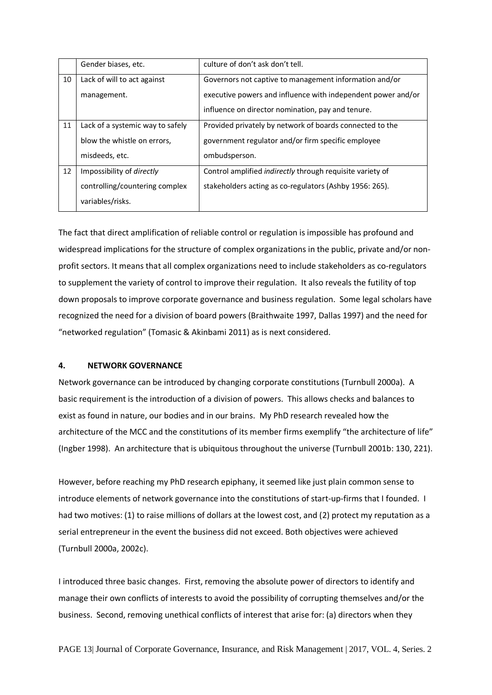|    | Gender biases, etc.              | culture of don't ask don't tell.                             |
|----|----------------------------------|--------------------------------------------------------------|
| 10 | Lack of will to act against      | Governors not captive to management information and/or       |
|    | management.                      | executive powers and influence with independent power and/or |
|    |                                  | influence on director nomination, pay and tenure.            |
| 11 | Lack of a systemic way to safely | Provided privately by network of boards connected to the     |
|    | blow the whistle on errors.      | government regulator and/or firm specific employee           |
|    | misdeeds, etc.                   | ombudsperson.                                                |
| 12 | Impossibility of <i>directly</i> | Control amplified indirectly through requisite variety of    |
|    | controlling/countering complex   | stakeholders acting as co-regulators (Ashby 1956: 265).      |
|    | variables/risks.                 |                                                              |

The fact that direct amplification of reliable control or regulation is impossible has profound and widespread implications for the structure of complex organizations in the public, private and/or nonprofit sectors. It means that all complex organizations need to include stakeholders as co-regulators to supplement the variety of control to improve their regulation. It also reveals the futility of top down proposals to improve corporate governance and business regulation. Some legal scholars have recognized the need for a division of board powers (Braithwaite 1997, Dallas 1997) and the need for "networked regulation" (Tomasic & Akinbami 2011) as is next considered.

## **4. NETWORK GOVERNANCE**

Network governance can be introduced by changing corporate constitutions (Turnbull 2000a). A basic requirement is the introduction of a division of powers. This allows checks and balances to exist as found in nature, our bodies and in our brains. My PhD research revealed how the architecture of the MCC and the constitutions of its member firms exemplify "the architecture of life" (Ingber 1998). An architecture that is ubiquitous throughout the universe (Turnbull 2001b: 130, 221).

However, before reaching my PhD research epiphany, it seemed like just plain common sense to introduce elements of network governance into the constitutions of start-up-firms that I founded. I had two motives: (1) to raise millions of dollars at the lowest cost, and (2) protect my reputation as a serial entrepreneur in the event the business did not exceed. Both objectives were achieved (Turnbull 2000a, 2002c).

I introduced three basic changes. First, removing the absolute power of directors to identify and manage their own conflicts of interests to avoid the possibility of corrupting themselves and/or the business. Second, removing unethical conflicts of interest that arise for: (a) directors when they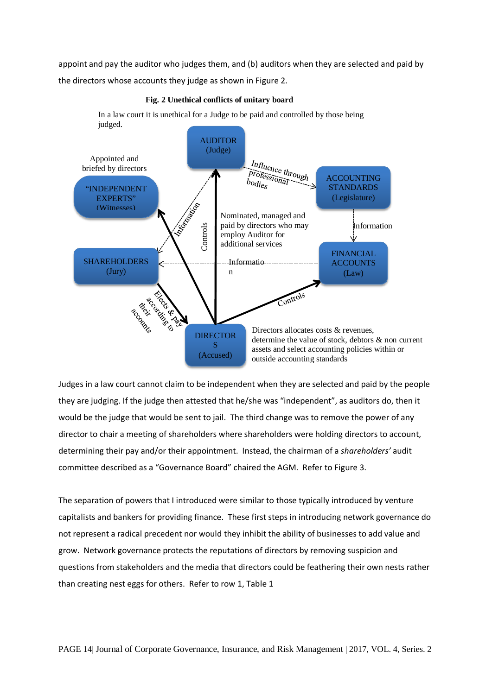appoint and pay the auditor who judges them, and (b) auditors when they are selected and paid by the directors whose accounts they judge as shown in Figure 2.



### **Fig. 2 Unethical conflicts of unitary board**

In a law court it is unethical for a Judge to be paid and controlled by those being

Judges in a law court cannot claim to be independent when they are selected and paid by the people they are judging. If the judge then attested that he/she was "independent", as auditors do, then it would be the judge that would be sent to jail. The third change was to remove the power of any director to chair a meeting of shareholders where shareholders were holding directors to account, determining their pay and/or their appointment. Instead, the chairman of a *shareholders'* audit committee described as a "Governance Board" chaired the AGM. Refer to Figure 3.

The separation of powers that I introduced were similar to those typically introduced by venture capitalists and bankers for providing finance. These first steps in introducing network governance do not represent a radical precedent nor would they inhibit the ability of businesses to add value and grow. Network governance protects the reputations of directors by removing suspicion and questions from stakeholders and the media that directors could be feathering their own nests rather than creating nest eggs for others. Refer to row 1, Table 1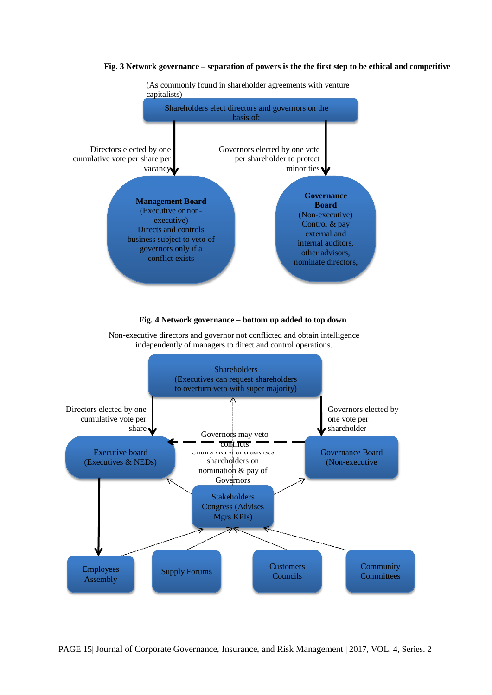

### **Fig. 3 Network governance – separation of powers is the the first step to be ethical and competitive**

Non-executive directors and governor not conflicted and obtain intelligence independently of managers to direct and control operations.

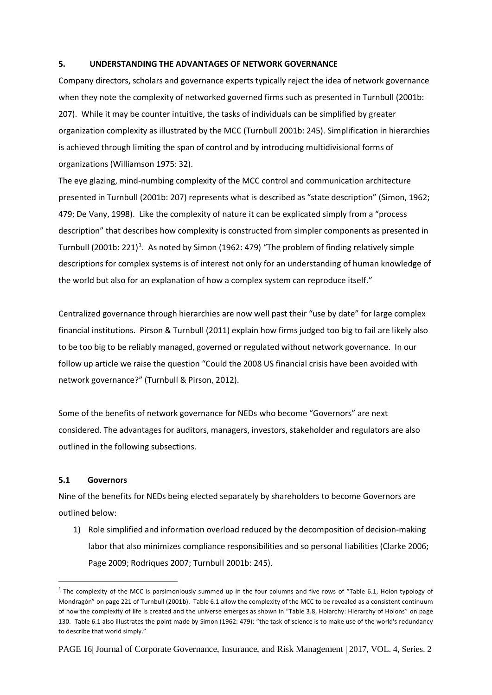### **5. UNDERSTANDING THE ADVANTAGES OF NETWORK GOVERNANCE**

Company directors, scholars and governance experts typically reject the idea of network governance when they note the complexity of networked governed firms such as presented in Turnbull (2001b: 207). While it may be counter intuitive, the tasks of individuals can be simplified by greater organization complexity as illustrated by the MCC (Turnbull 2001b: 245). Simplification in hierarchies is achieved through limiting the span of control and by introducing multidivisional forms of organizations (Williamson 1975: 32).

The eye glazing, mind-numbing complexity of the MCC control and communication architecture presented in Turnbull (2001b: 207) represents what is described as "state description" (Simon, 1962; 479; De Vany, 1998). Like the complexity of nature it can be explicated simply from a "process description" that describes how complexity is constructed from simpler components as presented in Turnbull (200[1](#page-15-0)b: 221)<sup>1</sup>. As noted by Simon (1962: 479) "The problem of finding relatively simple descriptions for complex systems is of interest not only for an understanding of human knowledge of the world but also for an explanation of how a complex system can reproduce itself."

Centralized governance through hierarchies are now well past their "use by date" for large complex financial institutions. Pirson & Turnbull (2011) explain how firms judged too big to fail are likely also to be too big to be reliably managed, governed or regulated without network governance. In our follow up article we raise the question "Could the 2008 US financial crisis have been avoided with network governance?" (Turnbull & Pirson, 2012).

Some of the benefits of network governance for NEDs who become "Governors" are next considered. The advantages for auditors, managers, investors, stakeholder and regulators are also outlined in the following subsections.

### **5.1 Governors**

Nine of the benefits for NEDs being elected separately by shareholders to become Governors are outlined below:

1) Role simplified and information overload reduced by the decomposition of decision-making labor that also minimizes compliance responsibilities and so personal liabilities (Clarke 2006; Page 2009; Rodriques 2007; Turnbull 2001b: 245).

<span id="page-15-0"></span> $1$  The complexity of the MCC is parsimoniously summed up in the four columns and five rows of "Table 6.1, Holon typology of Mondragón" on page 221 of Turnbull (2001b). Table 6.1 allow the complexity of the MCC to be revealed as a consistent continuum of how the complexity of life is created and the universe emerges as shown in "Table 3.8, Holarchy: Hierarchy of Holons" on page 130. Table 6.1 also illustrates the point made by Simon (1962: 479): "the task of science is to make use of the world's redundancy to describe that world simply."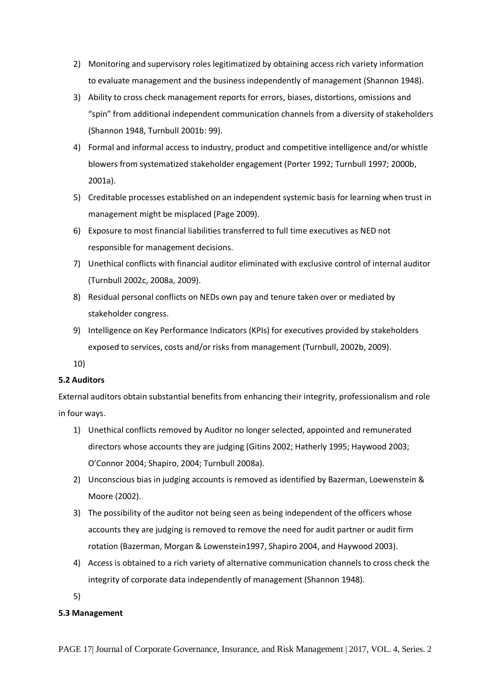- 2) Monitoring and supervisory roles legitimatized by obtaining access rich variety information to evaluate management and the business independently of management (Shannon 1948).
- 3) Ability to cross check management reports for errors, biases, distortions, omissions and "spin" from additional independent communication channels from a diversity of stakeholders (Shannon 1948, Turnbull 2001b: 99).
- 4) Formal and informal access to industry, product and competitive intelligence and/or whistle blowers from systematized stakeholder engagement (Porter 1992; Turnbull 1997; 2000b, 2001a).
- 5) Creditable processes established on an independent systemic basis for learning when trust in management might be misplaced (Page 2009).
- 6) Exposure to most financial liabilities transferred to full time executives as NED not responsible for management decisions.
- 7) Unethical conflicts with financial auditor eliminated with exclusive control of internal auditor (Turnbull 2002c, 2008a, 2009).
- 8) Residual personal conflicts on NEDs own pay and tenure taken over or mediated by stakeholder congress.
- 9) Intelligence on Key Performance Indicators (KPIs) for executives provided by stakeholders exposed to services, costs and/or risks from management (Turnbull, 2002b, 2009).

10)

# **5.2 Auditors**

External auditors obtain substantial benefits from enhancing their integrity, professionalism and role in four ways.

- 1) Unethical conflicts removed by Auditor no longer selected, appointed and remunerated directors whose accounts they are judging (Gitins 2002; Hatherly 1995; Haywood 2003; O'Connor 2004; Shapiro, 2004; Turnbull 2008a).
- 2) Unconscious bias in judging accounts is removed as identified by Bazerman, Loewenstein & Moore (2002).
- 3) The possibility of the auditor not being seen as being independent of the officers whose accounts they are judging is removed to remove the need for audit partner or audit firm rotation (Bazerman, Morgan & Lowenstein1997, Shapiro 2004, and Haywood 2003).
- 4) Access is obtained to a rich variety of alternative communication channels to cross check the integrity of corporate data independently of management (Shannon 1948).

5)

# **5.3 Management**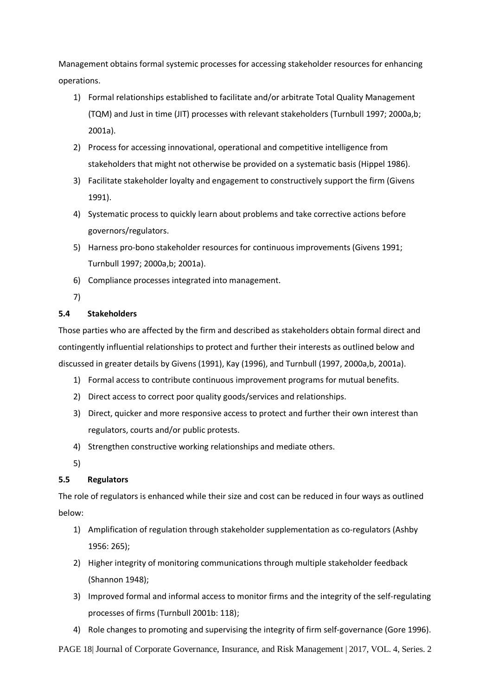Management obtains formal systemic processes for accessing stakeholder resources for enhancing operations.

- 1) Formal relationships established to facilitate and/or arbitrate Total Quality Management (TQM) and Just in time (JIT) processes with relevant stakeholders (Turnbull 1997; 2000a,b; 2001a).
- 2) Process for accessing innovational, operational and competitive intelligence from stakeholders that might not otherwise be provided on a systematic basis (Hippel 1986).
- 3) Facilitate stakeholder loyalty and engagement to constructively support the firm (Givens 1991).
- 4) Systematic process to quickly learn about problems and take corrective actions before governors/regulators.
- 5) Harness pro-bono stakeholder resources for continuous improvements (Givens 1991; Turnbull 1997; 2000a,b; 2001a).
- 6) Compliance processes integrated into management.
- 7)

# **5.4 Stakeholders**

Those parties who are affected by the firm and described as stakeholders obtain formal direct and contingently influential relationships to protect and further their interests as outlined below and discussed in greater details by Givens (1991), Kay (1996), and Turnbull (1997, 2000a,b, 2001a).

- 1) Formal access to contribute continuous improvement programs for mutual benefits.
- 2) Direct access to correct poor quality goods/services and relationships.
- 3) Direct, quicker and more responsive access to protect and further their own interest than regulators, courts and/or public protests.
- 4) Strengthen constructive working relationships and mediate others.
- 5)

# **5.5 Regulators**

The role of regulators is enhanced while their size and cost can be reduced in four ways as outlined below:

- 1) Amplification of regulation through stakeholder supplementation as co-regulators (Ashby 1956: 265);
- 2) Higher integrity of monitoring communications through multiple stakeholder feedback (Shannon 1948);
- 3) Improved formal and informal access to monitor firms and the integrity of the self-regulating processes of firms (Turnbull 2001b: 118);
- 4) Role changes to promoting and supervising the integrity of firm self-governance (Gore 1996).

PAGE 18| Journal of Corporate Governance, Insurance, and Risk Management | 2017, VOL. 4, Series. 2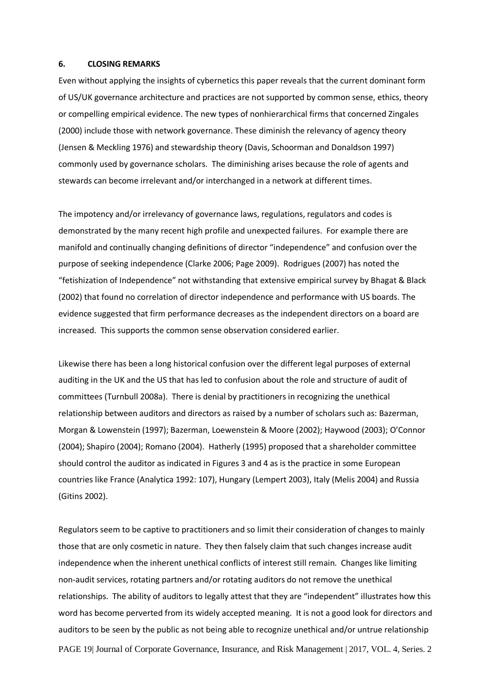### **6. CLOSING REMARKS**

Even without applying the insights of cybernetics this paper reveals that the current dominant form of US/UK governance architecture and practices are not supported by common sense, ethics, theory or compelling empirical evidence. The new types of nonhierarchical firms that concerned Zingales (2000) include those with network governance. These diminish the relevancy of agency theory (Jensen & Meckling 1976) and stewardship theory (Davis, Schoorman and Donaldson 1997) commonly used by governance scholars. The diminishing arises because the role of agents and stewards can become irrelevant and/or interchanged in a network at different times.

The impotency and/or irrelevancy of governance laws, regulations, regulators and codes is demonstrated by the many recent high profile and unexpected failures. For example there are manifold and continually changing definitions of director "independence" and confusion over the purpose of seeking independence (Clarke 2006; Page 2009). Rodrigues (2007) has noted the "fetishization of Independence" not withstanding that extensive empirical survey by Bhagat & Black (2002) that found no correlation of director independence and performance with US boards. The evidence suggested that firm performance decreases as the independent directors on a board are increased. This supports the common sense observation considered earlier.

Likewise there has been a long historical confusion over the different legal purposes of external auditing in the UK and the US that has led to confusion about the role and structure of audit of committees (Turnbull 2008a). There is denial by practitioners in recognizing the unethical relationship between auditors and directors as raised by a number of scholars such as: Bazerman, Morgan & Lowenstein (1997); Bazerman, Loewenstein & Moore (2002); Haywood (2003); O'Connor (2004); Shapiro (2004); Romano (2004). Hatherly (1995) proposed that a shareholder committee should control the auditor as indicated in Figures 3 and 4 as is the practice in some European countries like France (Analytica 1992: 107), Hungary (Lempert 2003), Italy (Melis 2004) and Russia (Gitins 2002).

PAGE 19| Journal of Corporate Governance, Insurance, and Risk Management | 2017, VOL. 4, Series. 2 Regulators seem to be captive to practitioners and so limit their consideration of changes to mainly those that are only cosmetic in nature. They then falsely claim that such changes increase audit independence when the inherent unethical conflicts of interest still remain. Changes like limiting non-audit services, rotating partners and/or rotating auditors do not remove the unethical relationships. The ability of auditors to legally attest that they are "independent" illustrates how this word has become perverted from its widely accepted meaning. It is not a good look for directors and auditors to be seen by the public as not being able to recognize unethical and/or untrue relationship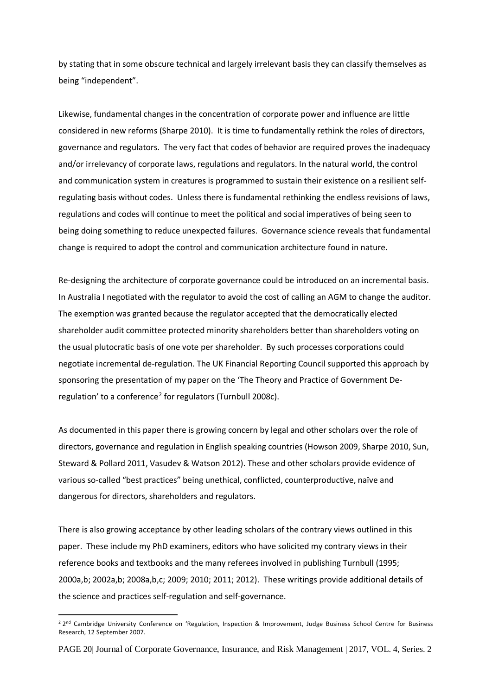by stating that in some obscure technical and largely irrelevant basis they can classify themselves as being "independent".

Likewise, fundamental changes in the concentration of corporate power and influence are little considered in new reforms (Sharpe 2010). It is time to fundamentally rethink the roles of directors, governance and regulators. The very fact that codes of behavior are required proves the inadequacy and/or irrelevancy of corporate laws, regulations and regulators. In the natural world, the control and communication system in creatures is programmed to sustain their existence on a resilient selfregulating basis without codes. Unless there is fundamental rethinking the endless revisions of laws, regulations and codes will continue to meet the political and social imperatives of being seen to being doing something to reduce unexpected failures. Governance science reveals that fundamental change is required to adopt the control and communication architecture found in nature.

Re-designing the architecture of corporate governance could be introduced on an incremental basis. In Australia I negotiated with the regulator to avoid the cost of calling an AGM to change the auditor. The exemption was granted because the regulator accepted that the democratically elected shareholder audit committee protected minority shareholders better than shareholders voting on the usual plutocratic basis of one vote per shareholder. By such processes corporations could negotiate incremental de-regulation. The UK Financial Reporting Council supported this approach by sponsoring the presentation of my paper on the 'The Theory and Practice of Government De-regulation' to a conference<sup>[2](#page-19-0)</sup> for regulators (Turnbull 2008c).

As documented in this paper there is growing concern by legal and other scholars over the role of directors, governance and regulation in English speaking countries (Howson 2009, Sharpe 2010, Sun, Steward & Pollard 2011, Vasudev & Watson 2012). These and other scholars provide evidence of various so-called "best practices" being unethical, conflicted, counterproductive, naïve and dangerous for directors, shareholders and regulators.

There is also growing acceptance by other leading scholars of the contrary views outlined in this paper. These include my PhD examiners, editors who have solicited my contrary views in their reference books and textbooks and the many referees involved in publishing Turnbull (1995; 2000a,b; 2002a,b; 2008a,b,c; 2009; 2010; 2011; 2012). These writings provide additional details of the science and practices self-regulation and self-governance.

<span id="page-19-0"></span><sup>&</sup>lt;sup>2</sup> 2nd Cambridge University Conference on 'Regulation, Inspection & Improvement, Judge Business School Centre for Business Research, 12 September 2007.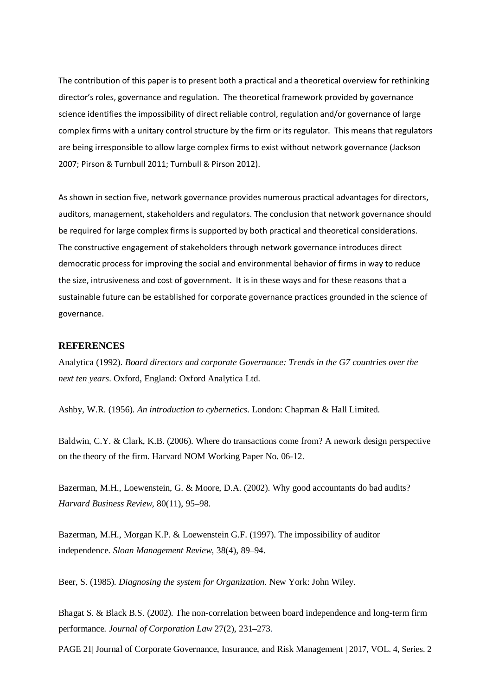The contribution of this paper is to present both a practical and a theoretical overview for rethinking director's roles, governance and regulation. The theoretical framework provided by governance science identifies the impossibility of direct reliable control, regulation and/or governance of large complex firms with a unitary control structure by the firm or its regulator. This means that regulators are being irresponsible to allow large complex firms to exist without network governance (Jackson 2007; Pirson & Turnbull 2011; Turnbull & Pirson 2012).

As shown in section five, network governance provides numerous practical advantages for directors, auditors, management, stakeholders and regulators. The conclusion that network governance should be required for large complex firms is supported by both practical and theoretical considerations. The constructive engagement of stakeholders through network governance introduces direct democratic process for improving the social and environmental behavior of firms in way to reduce the size, intrusiveness and cost of government. It is in these ways and for these reasons that a sustainable future can be established for corporate governance practices grounded in the science of governance.

### **REFERENCES**

Analytica (1992). *Board directors and corporate Governance: Trends in the G7 countries over the next ten years*. Oxford, England: Oxford Analytica Ltd.

Ashby, W.R. (1956). *An introduction to cybernetics*. London: Chapman & Hall Limited.

Baldwin, C.Y. & Clark, K.B. (2006). Where do transactions come from? A nework design perspective on the theory of the firm. Harvard NOM Working Paper No. 06-12.

Bazerman, M.H., Loewenstein, G. & Moore, D.A. (2002). Why good accountants do bad audits? *Harvard Business Review*, 80(11), 95–98.

Bazerman, M.H., Morgan K.P. & Loewenstein G.F. (1997). The impossibility of auditor independence. *Sloan Management Review,* 38(4), 89–94.

Beer, S. (1985). *Diagnosing the system for Organization*. New York: John Wiley.

Bhagat S. & Black B.S. (2002). The non-correlation between board independence and long-term firm performance. *Journal of Corporation Law* 27(2), 231–273.

PAGE 21| Journal of Corporate Governance, Insurance, and Risk Management | 2017, VOL. 4, Series. 2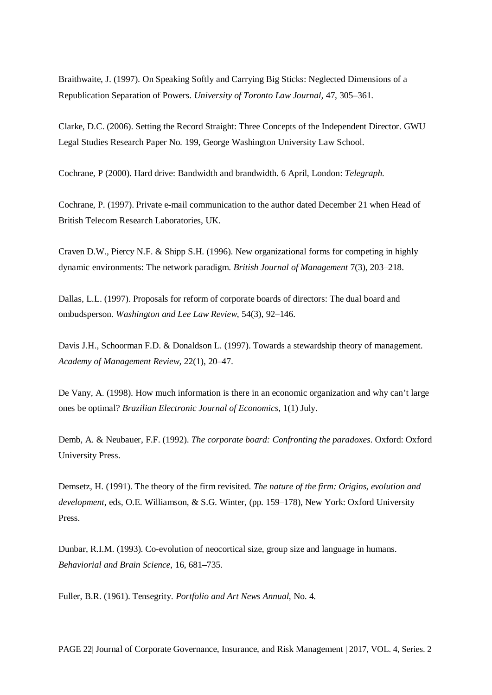Braithwaite, J. (1997). On Speaking Softly and Carrying Big Sticks: Neglected Dimensions of a Republication Separation of Powers. *University of Toronto Law Journal,* 47, 305–361.

Clarke, D.C. (2006). Setting the Record Straight: Three Concepts of the Independent Director. GWU Legal Studies Research Paper No. 199, George Washington University Law School.

Cochrane, P (2000). Hard drive: Bandwidth and brandwidth. 6 April, London: *Telegraph.* 

Cochrane, P. (1997). Private e-mail communication to the author dated December 21 when Head of British Telecom Research Laboratories, UK.

Craven D.W., Piercy N.F. & Shipp S.H. (1996). New organizational forms for competing in highly dynamic environments: The network paradigm. *British Journal of Management* 7(3), 203–218.

Dallas, L.L. (1997). Proposals for reform of corporate boards of directors: The dual board and ombudsperson. *Washington and Lee Law Review*, 54(3), 92–146.

Davis J.H., Schoorman F.D. & Donaldson L. (1997). Towards a stewardship theory of management. *Academy of Management Review,* 22(1), 20–47.

De Vany, A. (1998). How much information is there in an economic organization and why can't large ones be optimal? *Brazilian Electronic Journal of Economics*, 1(1) July.

Demb, A. & Neubauer, F.F. (1992). *The corporate board: Confronting the paradoxes*. Oxford: Oxford University Press.

Demsetz, H. (1991). The theory of the firm revisited. *The nature of the firm: Origins, evolution and development*, eds, O.E. Williamson, & S.G. Winter, (pp. 159–178), New York: Oxford University Press.

Dunbar, R.I.M. (1993). Co-evolution of neocortical size, group size and language in humans. *Behaviorial and Brain Science*, 16, 681–735.

Fuller, B.R. (1961). Tensegrity. *Portfolio and Art News Annual*, No. 4.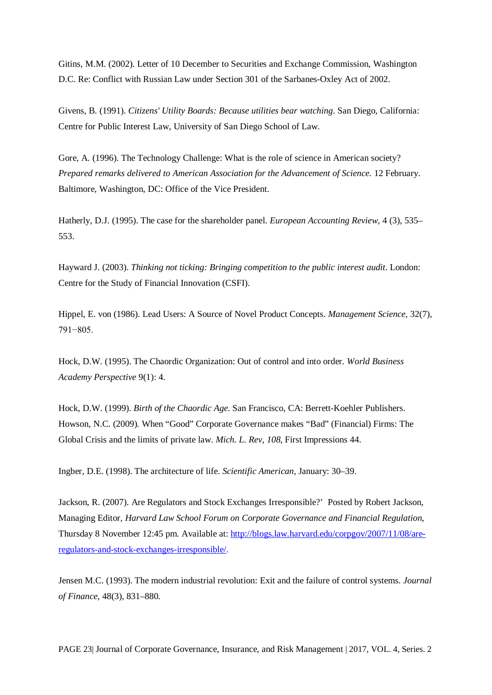Gitins, M.M. (2002). Letter of 10 December to Securities and Exchange Commission, Washington D.C. Re: Conflict with Russian Law under Section 301 of the Sarbanes-Oxley Act of 2002.

Givens, B. (1991). *Citizens' Utility Boards: Because utilities bear watching*. San Diego, California: Centre for Public Interest Law, University of San Diego School of Law.

Gore, A. (1996). The Technology Challenge: What is the role of science in American society? *Prepared remarks delivered to American Association for the Advancement of Science.* 12 February. Baltimore, Washington, DC: Office of the Vice President.

Hatherly, D.J. (1995). The case for the shareholder panel. *European Accounting Review,* 4 (3), 535– 553.

Hayward J. (2003). *Thinking not ticking: Bringing competition to the public interest audit*. London: Centre for the Study of Financial Innovation (CSFI).

Hippel, E. von (1986). Lead Users: A Source of Novel Product Concepts. *Management Science,* 32(7), 791−805.

Hock, D.W. (1995). The Chaordic Organization: Out of control and into order. *World Business Academy Perspective* 9(1): 4.

Hock, D.W. (1999). *Birth of the Chaordic Age*. San Francisco, CA: Berrett-Koehler Publishers. Howson, N.C. (2009). When "Good" Corporate Governance makes "Bad" (Financial) Firms: The Global Crisis and the limits of private law. *Mich. L. Rev, 108,* First Impressions 44.

Ingber, D.E. (1998). The architecture of life. *Scientific American,* January: 30–39.

Jackson, R. (2007). [Are Regulators and Stock Exchanges Irresponsible?'](http://blogs.law.harvard.edu/corpgov/2007/11/08/are-regulators-and-stock-exchanges-irresponsible/) Posted by Robert Jackson, Managing Editor, *Harvard Law School Forum on Corporate Governance and Financial Regulation*, Thursday 8 November [12:45 pm.](http://blogs.law.harvard.edu/corpgov/2007/11/08/are-regulators-and-stock-exchanges-irresponsible/) Available at: [http://blogs.law.harvard.edu/corpgov/2007/11/08/are](http://blogs.law.harvard.edu/corpgov/2007/11/08/are-regulators-and-stock-exchanges-irresponsible/)[regulators-and-stock-exchanges-irresponsible/.](http://blogs.law.harvard.edu/corpgov/2007/11/08/are-regulators-and-stock-exchanges-irresponsible/) 

Jensen M.C. (1993). The modern industrial revolution: Exit and the failure of control systems. *Journal of Finance,* 48(3), 831–880.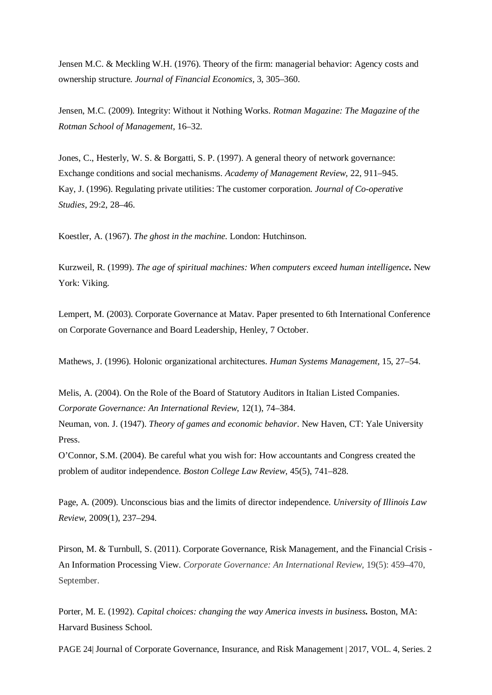Jensen M.C. & Meckling W.H. (1976). Theory of the firm: managerial behavior: Agency costs and ownership structure. *Journal of Financial Economics,* 3, 305–360.

Jensen, M.C. (2009). Integrity: Without it Nothing Works. *Rotman Magazine: The Magazine of the Rotman School of Management,* 16–32.

Jones, C., Hesterly, W. S. & Borgatti, S. P. (1997). A general theory of network governance: Exchange conditions and social mechanisms. *Academy of Management Review,* 22, 911–945. Kay, J. (1996). Regulating private utilities: The customer corporation. *Journal of Co-operative Studies*, 29:2, 28–46.

Koestler, A. (1967). *The ghost in the machine*. London: Hutchinson.

Kurzweil, R. (1999). *The age of spiritual machines: When computers exceed human intelligence***.** New York: Viking.

Lempert, M. (2003). Corporate Governance at Matav. Paper presented to 6th International Conference on Corporate Governance and Board Leadership, Henley, 7 October.

Mathews, J. (1996). Holonic organizational architectures. *Human Systems Management,* 15, 27–54.

Melis, A. (2004). On the Role of the Board of Statutory Auditors in Italian Listed Companies. *Corporate Governance: An International Review*, 12(1), 74–384.

Neuman, von. J. (1947). *Theory of games and economic behavior*. New Haven, CT: Yale University Press.

O'Connor, S.M. (2004). Be careful what you wish for: How accountants and Congress created the problem of auditor independence. *Boston College Law Review,* 45(5), 741–828.

Page, A. (2009). Unconscious bias and the limits of director independence. *University of Illinois Law Review,* 2009(1), 237–294.

Pirson, M. & Turnbull, S. (2011). Corporate Governance, Risk Management, and the Financial Crisis - An Information Processing View. *Corporate Governance: An International Review,* 19(5): 459–470, September.

Porter, M. E. (1992). *Capital choices: changing the way America invests in business.* Boston, MA: Harvard Business School.

PAGE 24| Journal of Corporate Governance, Insurance, and Risk Management | 2017, VOL. 4, Series. 2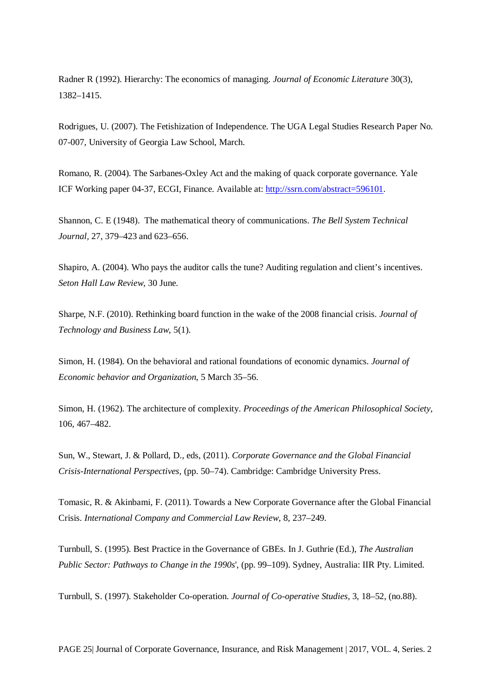Radner R (1992). Hierarchy: The economics of managing. *Journal of Economic Literature* 30(3), 1382–1415.

Rodrigues, U. (2007). The Fetishization of Independence. The UGA Legal Studies Research Paper No. 07-007, University of Georgia Law School, March.

Romano, R. (2004). The Sarbanes-Oxley Act and the making of quack corporate governance. Yale ICF Working paper 04-37, ECGI, Finance. Available at: [http://ssrn.com/abstract=596101.](http://ssrn.com/abstract=596101)

Shannon, C. E (1948). The mathematical theory of communications. *The Bell System Technical Journal,* 27, 379–423 and 623–656.

Shapiro, A. (2004). Who pays the auditor calls the tune? Auditing regulation and client's incentives. *Seton Hall Law Review,* 30 June.

Sharpe, N.F. (2010). Rethinking board function in the wake of the 2008 financial crisis. *Journal of Technology and Business Law*, 5(1).

Simon, H. (1984). On the behavioral and rational foundations of economic dynamics. *Journal of Economic behavior and Organization*, 5 March 35–56.

Simon, H. (1962). The architecture of complexity. *Proceedings of the American Philosophical Society*, 106, 467–482.

Sun, W., Stewart, J. & Pollard, D., eds, (2011). *Corporate Governance and the Global Financial Crisis-International Perspectives,* (pp. 50–74). Cambridge: Cambridge University Press.

Tomasic, R. & Akinbami, F. (2011). Towards a New Corporate Governance after the Global Financial Crisis. *International Company and Commercial Law Review,* 8, 237–249*.*

Turnbull, S. (1995). Best Practice in the Governance of GBEs. In J. Guthrie (Ed.), *The Australian Public Sector: Pathways to Change in the 1990s*', (pp. 99–109). Sydney, Australia: IIR Pty. Limited.

Turnbull, S. (1997). Stakeholder Co-operation. *Journal of Co-operative Studies*, 3, 18–52, (no.88).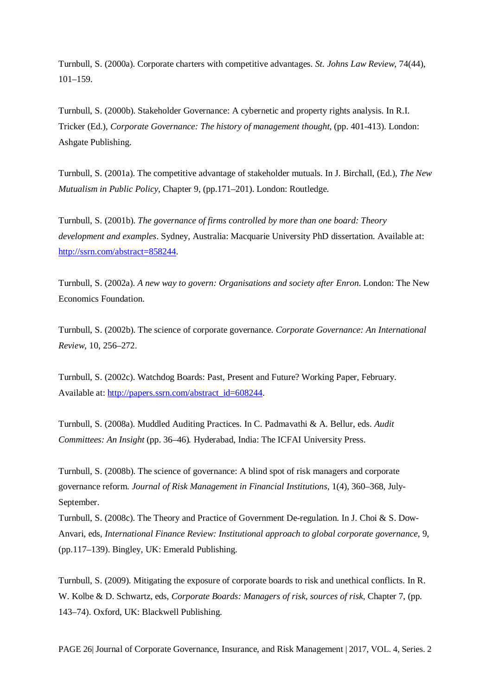Turnbull, S. (2000a). Corporate charters with competitive advantages. *St. Johns Law Review*, 74(44), 101–159.

Turnbull, S. (2000b). Stakeholder Governance: A cybernetic and property rights analysis. In R.I. Tricker (Ed.), *Corporate Governance: The history of management thought*, (pp. 401-413). London: Ashgate Publishing.

Turnbull, S. (2001a). The competitive advantage of stakeholder mutuals. In J. Birchall, (Ed.), *The New Mutualism in Public Policy*, Chapter 9, (pp.171–201). London: Routledge.

Turnbull, S. (2001b). *The governance of firms controlled by more than one board: Theory development and examples*. Sydney, Australia: Macquarie University PhD dissertation. Available at: [http://ssrn.com/abstract=858244.](http://ssrn.com/abstract=858244)

Turnbull, S. (2002a). *A new way to govern: Organisations and society after Enron*. London: The New Economics Foundation.

Turnbull, S. (2002b). The science of corporate governance. *Corporate Governance: An International Review*, 10, 256–272.

Turnbull, S. (2002c). Watchdog Boards: Past, Present and Future? Working Paper, February. Available at: [http://papers.ssrn.com/abstract\\_id=608244.](http://papers.ssrn.com/abstract_id=608244)

Turnbull, S. (2008a). Muddled Auditing Practices. In C. Padmavathi & A. Bellur, eds. *Audit Committees: An Insight* (pp. 36–46)*.* Hyderabad, India: The ICFAI University Press.

Turnbull, S. (2008b). The science of governance: A blind spot of risk managers and corporate governance reform. *Journal of Risk Management in Financial Institutions,* 1(4), 360–368, July-September.

Turnbull, S. (2008c). The Theory and Practice of Government De-regulation. In J. Choi & S. Dow-Anvari, eds, *International Finance Review: Institutional approach to global corporate governance*, 9, (pp.117–139). Bingley, UK: Emerald Publishing.

Turnbull, S. (2009). Mitigating the exposure of corporate boards to risk and unethical conflicts. In R. W. Kolbe & D. Schwartz, eds, *Corporate Boards: Managers of risk, sources of risk*, Chapter 7, (pp. 143–74). Oxford, UK: Blackwell Publishing.

PAGE 26| Journal of Corporate Governance, Insurance, and Risk Management | 2017, VOL. 4, Series. 2